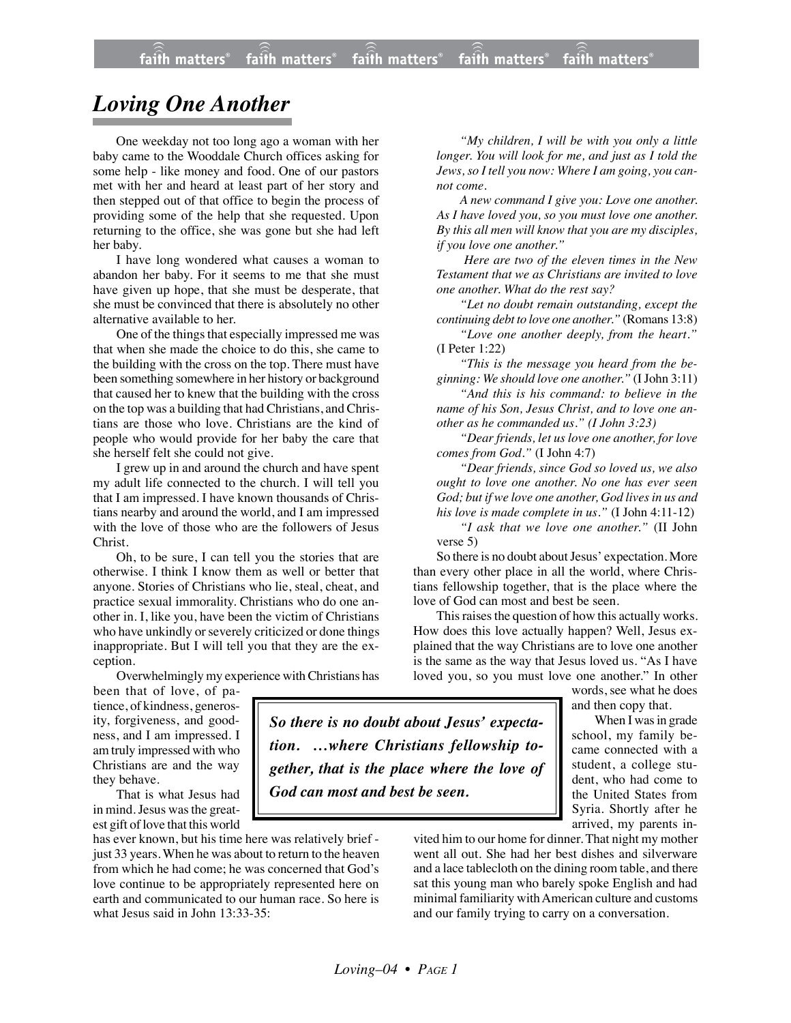## *Loving One Another*

One weekday not too long ago a woman with her baby came to the Wooddale Church offices asking for some help - like money and food. One of our pastors met with her and heard at least part of her story and then stepped out of that office to begin the process of providing some of the help that she requested. Upon returning to the office, she was gone but she had left her baby.

I have long wondered what causes a woman to abandon her baby. For it seems to me that she must have given up hope, that she must be desperate, that she must be convinced that there is absolutely no other alternative available to her.

One of the things that especially impressed me was that when she made the choice to do this, she came to the building with the cross on the top. There must have been something somewhere in her history or background that caused her to knew that the building with the cross on the top was a building that had Christians, and Christians are those who love. Christians are the kind of people who would provide for her baby the care that she herself felt she could not give.

I grew up in and around the church and have spent my adult life connected to the church. I will tell you that I am impressed. I have known thousands of Christians nearby and around the world, and I am impressed with the love of those who are the followers of Jesus Christ.

Oh, to be sure, I can tell you the stories that are otherwise. I think I know them as well or better that anyone. Stories of Christians who lie, steal, cheat, and practice sexual immorality. Christians who do one another in. I, like you, have been the victim of Christians who have unkindly or severely criticized or done things inappropriate. But I will tell you that they are the exception.

Overwhelmingly my experience with Christians has

been that of love, of patience, of kindness, generosity, forgiveness, and goodness, and I am impressed. I am truly impressed with who Christians are and the way they behave.

That is what Jesus had in mind. Jesus was the greatest gift of love that this world

has ever known, but his time here was relatively brief just 33 years. When he was about to return to the heaven from which he had come; he was concerned that God's love continue to be appropriately represented here on earth and communicated to our human race. So here is what Jesus said in John 13:33-35:

*"My children, I will be with you only a little longer. You will look for me, and just as I told the Jews, so I tell you now: Where I am going, you cannot come.*

*A new command I give you: Love one another. As I have loved you, so you must love one another. By this all men will know that you are my disciples, if you love one another."*

 *Here are two of the eleven times in the New Testament that we as Christians are invited to love one another. What do the rest say?*

*"Let no doubt remain outstanding, except the continuing debt to love one another."* (Romans 13:8)

*"Love one another deeply, from the heart."* (I Peter 1:22)

*"This is the message you heard from the beginning: We should love one another."* (I John 3:11)

*"And this is his command: to believe in the name of his Son, Jesus Christ, and to love one another as he commanded us." (I John 3:23)*

*"Dear friends, let us love one another, for love comes from God."* (I John 4:7)

*"Dear friends, since God so loved us, we also ought to love one another. No one has ever seen God; but if we love one another, God lives in us and his love is made complete in us."* (I John 4:11-12) *"I ask that we love one another."* (II John

verse 5)

So there is no doubt about Jesus' expectation. More than every other place in all the world, where Christians fellowship together, that is the place where the love of God can most and best be seen.

This raises the question of how this actually works. How does this love actually happen? Well, Jesus explained that the way Christians are to love one another is the same as the way that Jesus loved us. "As I have loved you, so you must love one another." In other

words, see what he does and then copy that.

When I was in grade school, my family became connected with a student, a college student, who had come to the United States from Syria. Shortly after he arrived, my parents in-

vited him to our home for dinner. That night my mother went all out. She had her best dishes and silverware and a lace tablecloth on the dining room table, and there sat this young man who barely spoke English and had minimal familiarity with American culture and customs and our family trying to carry on a conversation.

*So there is no doubt about Jesus' expectation. …where Christians fellowship together, that is the place where the love of*

*God can most and best be seen.*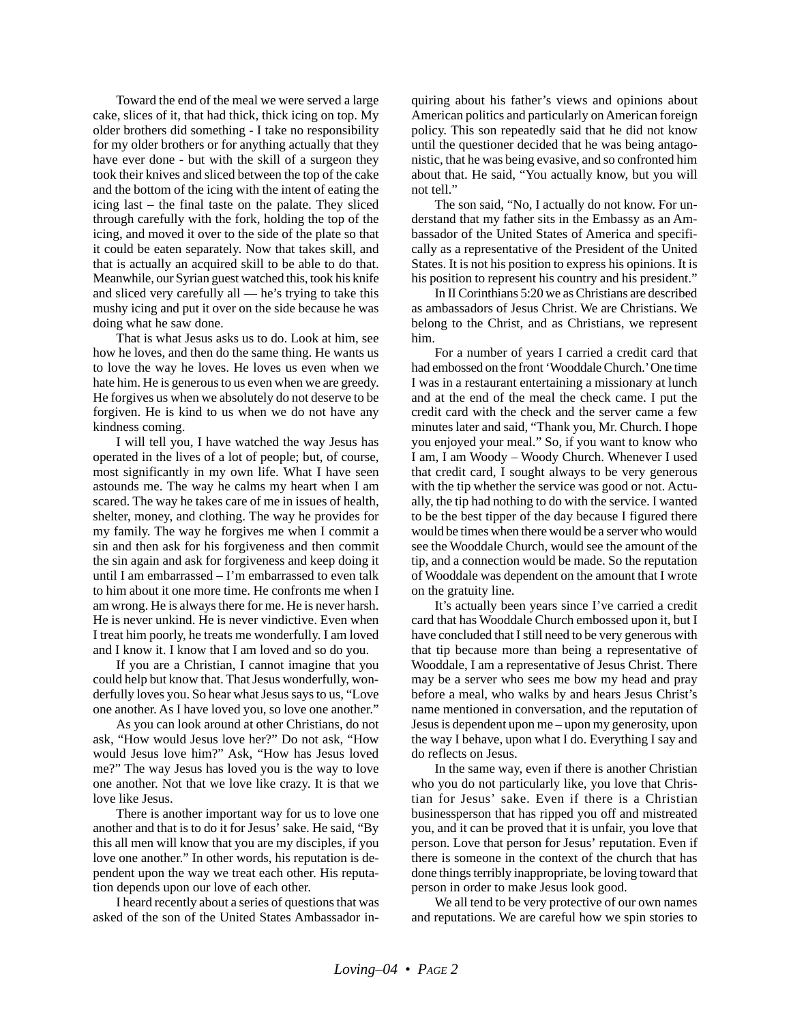Toward the end of the meal we were served a large cake, slices of it, that had thick, thick icing on top. My older brothers did something - I take no responsibility for my older brothers or for anything actually that they have ever done - but with the skill of a surgeon they took their knives and sliced between the top of the cake and the bottom of the icing with the intent of eating the icing last – the final taste on the palate. They sliced through carefully with the fork, holding the top of the icing, and moved it over to the side of the plate so that it could be eaten separately. Now that takes skill, and that is actually an acquired skill to be able to do that. Meanwhile, our Syrian guest watched this, took his knife and sliced very carefully all — he's trying to take this mushy icing and put it over on the side because he was doing what he saw done.

That is what Jesus asks us to do. Look at him, see how he loves, and then do the same thing. He wants us to love the way he loves. He loves us even when we hate him. He is generous to us even when we are greedy. He forgives us when we absolutely do not deserve to be forgiven. He is kind to us when we do not have any kindness coming.

I will tell you, I have watched the way Jesus has operated in the lives of a lot of people; but, of course, most significantly in my own life. What I have seen astounds me. The way he calms my heart when I am scared. The way he takes care of me in issues of health, shelter, money, and clothing. The way he provides for my family. The way he forgives me when I commit a sin and then ask for his forgiveness and then commit the sin again and ask for forgiveness and keep doing it until I am embarrassed – I'm embarrassed to even talk to him about it one more time. He confronts me when I am wrong. He is always there for me. He is never harsh. He is never unkind. He is never vindictive. Even when I treat him poorly, he treats me wonderfully. I am loved and I know it. I know that I am loved and so do you.

If you are a Christian, I cannot imagine that you could help but know that. That Jesus wonderfully, wonderfully loves you. So hear what Jesus says to us, "Love one another. As I have loved you, so love one another."

As you can look around at other Christians, do not ask, "How would Jesus love her?" Do not ask, "How would Jesus love him?" Ask, "How has Jesus loved me?" The way Jesus has loved you is the way to love one another. Not that we love like crazy. It is that we love like Jesus.

There is another important way for us to love one another and that is to do it for Jesus' sake. He said, "By this all men will know that you are my disciples, if you love one another." In other words, his reputation is dependent upon the way we treat each other. His reputation depends upon our love of each other.

I heard recently about a series of questions that was asked of the son of the United States Ambassador inquiring about his father's views and opinions about American politics and particularly on American foreign policy. This son repeatedly said that he did not know until the questioner decided that he was being antagonistic, that he was being evasive, and so confronted him about that. He said, "You actually know, but you will not tell."

The son said, "No, I actually do not know. For understand that my father sits in the Embassy as an Ambassador of the United States of America and specifically as a representative of the President of the United States. It is not his position to express his opinions. It is his position to represent his country and his president."

In II Corinthians 5:20 we as Christians are described as ambassadors of Jesus Christ. We are Christians. We belong to the Christ, and as Christians, we represent him.

For a number of years I carried a credit card that had embossed on the front 'Wooddale Church.' One time I was in a restaurant entertaining a missionary at lunch and at the end of the meal the check came. I put the credit card with the check and the server came a few minutes later and said, "Thank you, Mr. Church. I hope you enjoyed your meal." So, if you want to know who I am, I am Woody – Woody Church. Whenever I used that credit card, I sought always to be very generous with the tip whether the service was good or not. Actually, the tip had nothing to do with the service. I wanted to be the best tipper of the day because I figured there would be times when there would be a server who would see the Wooddale Church, would see the amount of the tip, and a connection would be made. So the reputation of Wooddale was dependent on the amount that I wrote on the gratuity line.

It's actually been years since I've carried a credit card that has Wooddale Church embossed upon it, but I have concluded that I still need to be very generous with that tip because more than being a representative of Wooddale, I am a representative of Jesus Christ. There may be a server who sees me bow my head and pray before a meal, who walks by and hears Jesus Christ's name mentioned in conversation, and the reputation of Jesus is dependent upon me – upon my generosity, upon the way I behave, upon what I do. Everything I say and do reflects on Jesus.

In the same way, even if there is another Christian who you do not particularly like, you love that Christian for Jesus' sake. Even if there is a Christian businessperson that has ripped you off and mistreated you, and it can be proved that it is unfair, you love that person. Love that person for Jesus' reputation. Even if there is someone in the context of the church that has done things terribly inappropriate, be loving toward that person in order to make Jesus look good.

We all tend to be very protective of our own names and reputations. We are careful how we spin stories to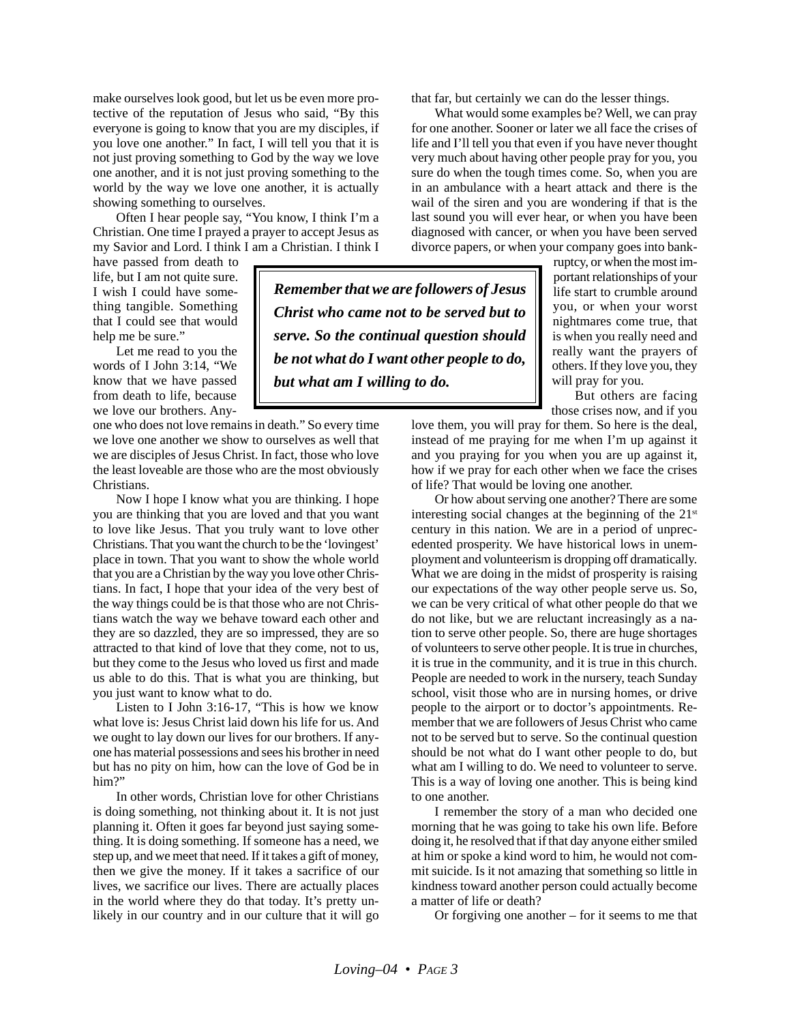make ourselves look good, but let us be even more protective of the reputation of Jesus who said, "By this everyone is going to know that you are my disciples, if you love one another." In fact, I will tell you that it is not just proving something to God by the way we love one another, and it is not just proving something to the world by the way we love one another, it is actually showing something to ourselves.

Often I hear people say, "You know, I think I'm a Christian. One time I prayed a prayer to accept Jesus as my Savior and Lord. I think I am a Christian. I think I

have passed from death to life, but I am not quite sure. I wish I could have something tangible. Something that I could see that would help me be sure."

Let me read to you the words of I John 3:14, "We know that we have passed from death to life, because we love our brothers. Any-

one who does not love remains in death." So every time we love one another we show to ourselves as well that we are disciples of Jesus Christ. In fact, those who love the least loveable are those who are the most obviously Christians.

Now I hope I know what you are thinking. I hope you are thinking that you are loved and that you want to love like Jesus. That you truly want to love other Christians. That you want the church to be the 'lovingest' place in town. That you want to show the whole world that you are a Christian by the way you love other Christians. In fact, I hope that your idea of the very best of the way things could be is that those who are not Christians watch the way we behave toward each other and they are so dazzled, they are so impressed, they are so attracted to that kind of love that they come, not to us, but they come to the Jesus who loved us first and made us able to do this. That is what you are thinking, but you just want to know what to do.

Listen to I John 3:16-17, "This is how we know what love is: Jesus Christ laid down his life for us. And we ought to lay down our lives for our brothers. If anyone has material possessions and sees his brother in need but has no pity on him, how can the love of God be in him?"

In other words, Christian love for other Christians is doing something, not thinking about it. It is not just planning it. Often it goes far beyond just saying something. It is doing something. If someone has a need, we step up, and we meet that need. If it takes a gift of money, then we give the money. If it takes a sacrifice of our lives, we sacrifice our lives. There are actually places in the world where they do that today. It's pretty unlikely in our country and in our culture that it will go that far, but certainly we can do the lesser things.

What would some examples be? Well, we can pray for one another. Sooner or later we all face the crises of life and I'll tell you that even if you have never thought very much about having other people pray for you, you sure do when the tough times come. So, when you are in an ambulance with a heart attack and there is the wail of the siren and you are wondering if that is the last sound you will ever hear, or when you have been diagnosed with cancer, or when you have been served divorce papers, or when your company goes into bank-

*Remember that we are followers of Jesus Christ who came not to be served but to serve. So the continual question should be not what do I want other people to do, but what am I willing to do.*

ruptcy, or when the most important relationships of your life start to crumble around you, or when your worst nightmares come true, that is when you really need and really want the prayers of others. If they love you, they will pray for you.

But others are facing those crises now, and if you

love them, you will pray for them. So here is the deal, instead of me praying for me when I'm up against it and you praying for you when you are up against it, how if we pray for each other when we face the crises of life? That would be loving one another.

Or how about serving one another? There are some interesting social changes at the beginning of the  $21<sup>st</sup>$ century in this nation. We are in a period of unprecedented prosperity. We have historical lows in unemployment and volunteerism is dropping off dramatically. What we are doing in the midst of prosperity is raising our expectations of the way other people serve us. So, we can be very critical of what other people do that we do not like, but we are reluctant increasingly as a nation to serve other people. So, there are huge shortages of volunteers to serve other people. It is true in churches, it is true in the community, and it is true in this church. People are needed to work in the nursery, teach Sunday school, visit those who are in nursing homes, or drive people to the airport or to doctor's appointments. Remember that we are followers of Jesus Christ who came not to be served but to serve. So the continual question should be not what do I want other people to do, but what am I willing to do. We need to volunteer to serve. This is a way of loving one another. This is being kind to one another.

I remember the story of a man who decided one morning that he was going to take his own life. Before doing it, he resolved that if that day anyone either smiled at him or spoke a kind word to him, he would not commit suicide. Is it not amazing that something so little in kindness toward another person could actually become a matter of life or death?

Or forgiving one another – for it seems to me that